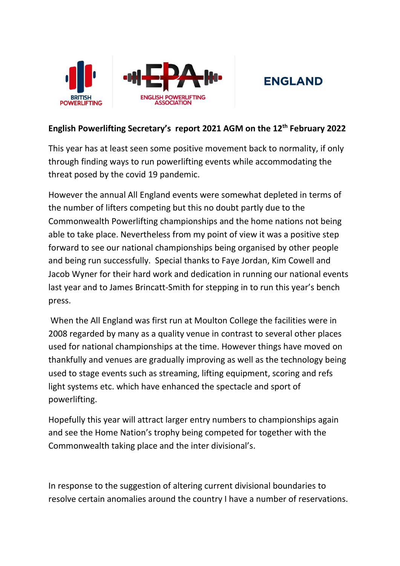

## **ENGLAND**

## **English Powerlifting Secretary's report 2021 AGM on the 12th February 2022**

This year has at least seen some positive movement back to normality, if only through finding ways to run powerlifting events while accommodating the threat posed by the covid 19 pandemic.

However the annual All England events were somewhat depleted in terms of the number of lifters competing but this no doubt partly due to the Commonwealth Powerlifting championships and the home nations not being able to take place. Nevertheless from my point of view it was a positive step forward to see our national championships being organised by other people and being run successfully. Special thanks to Faye Jordan, Kim Cowell and Jacob Wyner for their hard work and dedication in running our national events last year and to James Brincatt-Smith for stepping in to run this year's bench press.

When the All England was first run at Moulton College the facilities were in 2008 regarded by many as a quality venue in contrast to several other places used for national championships at the time. However things have moved on thankfully and venues are gradually improving as well as the technology being used to stage events such as streaming, lifting equipment, scoring and refs light systems etc. which have enhanced the spectacle and sport of powerlifting.

Hopefully this year will attract larger entry numbers to championships again and see the Home Nation's trophy being competed for together with the Commonwealth taking place and the inter divisional's.

In response to the suggestion of altering current divisional boundaries to resolve certain anomalies around the country I have a number of reservations.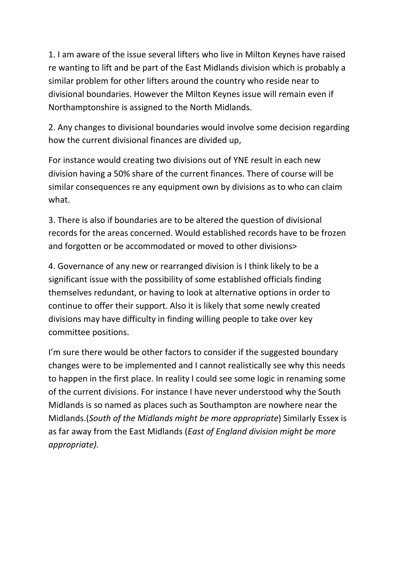1. I am aware of the issue several lifters who live in Milton Keynes have raised re wanting to lift and be part of the East Midlands division which is probably a similar problem for other lifters around the country who reside near to divisional boundaries. However the Milton Keynes issue will remain even if Northamptonshire is assigned to the North Midlands.

2. Any changes to divisional boundaries would involve some decision regarding how the current divisional finances are divided up,

For instance would creating two divisions out of YNE result in each new division having a 50% share of the current finances. There of course will be similar consequences re any equipment own by divisions as to who can claim what.

3. There is also if boundaries are to be altered the question of divisional records for the areas concerned. Would established records have to be frozen and forgotten or be accommodated or moved to other divisions>

4. Governance of any new or rearranged division is I think likely to be a significant issue with the possibility of some established officials finding themselves redundant, or having to look at alternative options in order to continue to offer their support. Also it is likely that some newly created divisions may have difficulty in finding willing people to take over key committee positions.

I'm sure there would be other factors to consider if the suggested boundary changes were to be implemented and I cannot realistically see why this needs to happen in the first place. In reality I could see some logic in renaming some of the current divisions. For instance I have never understood why the South Midlands is so named as places such as Southampton are nowhere near the Midlands.(*South of the Midlands might be more appropriate*) Similarly Essex is as far away from the East Midlands (*East of England division might be more appropriate).*